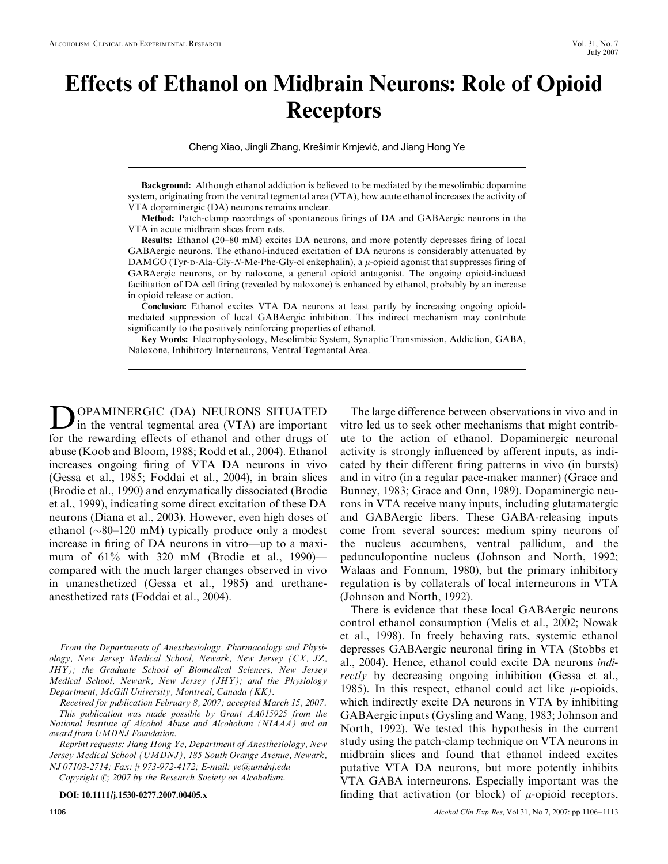# Effects of Ethanol on Midbrain Neurons: Role of Opioid Receptors

Cheng Xiao, Jingli Zhang, Krešimir Krnjević, and Jiang Hong Ye

Background: Although ethanol addiction is believed to be mediated by the mesolimbic dopamine system, originating from the ventral tegmental area (VTA), how acute ethanol increases the activity of VTA dopaminergic (DA) neurons remains unclear.

Method: Patch-clamp recordings of spontaneous firings of DA and GABAergic neurons in the VTA in acute midbrain slices from rats.

Results: Ethanol (20–80 mM) excites DA neurons, and more potently depresses firing of local GABAergic neurons. The ethanol-induced excitation of DA neurons is considerably attenuated by DAMGO (Tyr-D-Ala-Gly-N-Me-Phe-Gly-ol enkephalin), a  $\mu$ -opioid agonist that suppresses firing of GABAergic neurons, or by naloxone, a general opioid antagonist. The ongoing opioid-induced facilitation of DA cell firing (revealed by naloxone) is enhanced by ethanol, probably by an increase in opioid release or action.

Conclusion: Ethanol excites VTA DA neurons at least partly by increasing ongoing opioidmediated suppression of local GABAergic inhibition. This indirect mechanism may contribute significantly to the positively reinforcing properties of ethanol.

Key Words: Electrophysiology, Mesolimbic System, Synaptic Transmission, Addiction, GABA, Naloxone, Inhibitory Interneurons, Ventral Tegmental Area.

DOPAMINERGIC (DA) NEURONS SITUATED<br>in the ventral tegmental area (VTA) are important for the rewarding effects of ethanol and other drugs of abuse (Koob and Bloom, 1988; Rodd et al., 2004). Ethanol increases ongoing firing of VTA DA neurons in vivo (Gessa et al., 1985; Foddai et al., 2004), in brain slices (Brodie et al., 1990) and enzymatically dissociated (Brodie et al., 1999), indicating some direct excitation of these DA neurons (Diana et al., 2003). However, even high doses of ethanol ( $\sim$ 80–120 mM) typically produce only a modest increase in firing of DA neurons in vitro—up to a maximum of 61% with 320 mM (Brodie et al., 1990) compared with the much larger changes observed in vivo in unanesthetized (Gessa et al., 1985) and urethaneanesthetized rats (Foddai et al., 2004).

Copyright  $\odot$  2007 by the Research Society on Alcoholism.

DOI: 10.1111/j.1530-0277.2007.00405.x

The large difference between observations in vivo and in vitro led us to seek other mechanisms that might contribute to the action of ethanol. Dopaminergic neuronal activity is strongly influenced by afferent inputs, as indicated by their different firing patterns in vivo (in bursts) and in vitro (in a regular pace-maker manner) (Grace and Bunney, 1983; Grace and Onn, 1989). Dopaminergic neurons in VTA receive many inputs, including glutamatergic and GABAergic fibers. These GABA-releasing inputs come from several sources: medium spiny neurons of the nucleus accumbens, ventral pallidum, and the pedunculopontine nucleus (Johnson and North, 1992; Walaas and Fonnum, 1980), but the primary inhibitory regulation is by collaterals of local interneurons in VTA (Johnson and North, 1992).

There is evidence that these local GABAergic neurons control ethanol consumption (Melis et al., 2002; Nowak et al., 1998). In freely behaving rats, systemic ethanol depresses GABAergic neuronal firing in VTA (Stobbs et al., 2004). Hence, ethanol could excite DA neurons indirectly by decreasing ongoing inhibition (Gessa et al., 1985). In this respect, ethanol could act like  $\mu$ -opioids, which indirectly excite DA neurons in VTA by inhibiting GABAergic inputs (Gysling and Wang, 1983; Johnson and North, 1992). We tested this hypothesis in the current study using the patch-clamp technique on VTA neurons in midbrain slices and found that ethanol indeed excites putative VTA DA neurons, but more potently inhibits VTA GABA interneurons. Especially important was the finding that activation (or block) of  $\mu$ -opioid receptors,

From the Departments of Anesthesiology, Pharmacology and Physiology, New Jersey Medical School, Newark, New Jersey (CX, JZ, JHY); the Graduate School of Biomedical Sciences, New Jersey Medical School, Newark, New Jersey (JHY); and the Physiology Department, McGill University, Montreal, Canada (KK).

Received for publication February 8, 2007; accepted March 15, 2007. This publication was made possible by Grant AA015925 from the National Institute of Alcohol Abuse and Alcoholism (NIAAA) and an award from UMDNJ Foundation.

Reprint requests: Jiang Hong Ye, Department of Anesthesiology, New Jersey Medical School (UMDNJ), 185 South Orange Avenue, Newark, NJ 07103-2714; Fax: # 973-972-4172; E-mail: ye@umdnj.edu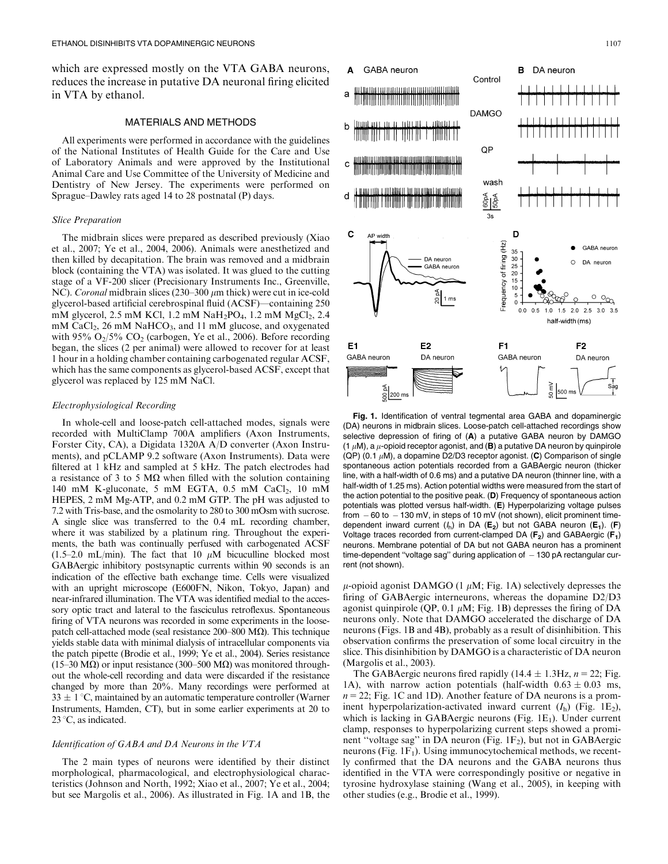which are expressed mostly on the VTA GABA neurons, reduces the increase in putative DA neuronal firing elicited in VTA by ethanol.

#### MATERIALS AND METHODS

All experiments were performed in accordance with the guidelines of the National Institutes of Health Guide for the Care and Use of Laboratory Animals and were approved by the Institutional Animal Care and Use Committee of the University of Medicine and Dentistry of New Jersey. The experiments were performed on Sprague–Dawley rats aged 14 to 28 postnatal (P) days.

#### Slice Preparation

The midbrain slices were prepared as described previously (Xiao et al., 2007; Ye et al., 2004, 2006). Animals were anesthetized and then killed by decapitation. The brain was removed and a midbrain block (containing the VTA) was isolated. It was glued to the cutting stage of a VF-200 slicer (Precisionary Instruments Inc., Greenville, NC). Coronal midbrain slices (230–300  $\mu$ m thick) were cut in ice-cold glycerol-based artificial cerebrospinal fluid (ACSF)—containing 250 mM glycerol, 2.5 mM KCl, 1.2 mM  $NaH_2PO_4$ , 1.2 mM  $MgCl_2$ , 2.4 mM CaCl<sub>2</sub>, 26 mM NaHCO<sub>3</sub>, and 11 mM glucose, and oxygenated with 95%  $O_2/5\%$  CO<sub>2</sub> (carbogen, Ye et al., 2006). Before recording began, the slices (2 per animal) were allowed to recover for at least 1 hour in a holding chamber containing carbogenated regular ACSF, which has the same components as glycerol-based ACSF, except that glycerol was replaced by 125 mM NaCl.

#### Electrophysiological Recording

In whole-cell and loose-patch cell-attached modes, signals were recorded with MultiClamp 700A amplifiers (Axon Instruments, Forster City, CA), a Digidata 1320A A/D converter (Axon Instruments), and pCLAMP 9.2 software (Axon Instruments). Data were filtered at 1 kHz and sampled at 5 kHz. The patch electrodes had a resistance of 3 to 5  $\text{M}\Omega$  when filled with the solution containing 140 mM K-gluconate, 5 mM EGTA,  $0.5$  mM CaCl<sub>2</sub>, 10 mM HEPES, 2 mM Mg-ATP, and 0.2 mM GTP. The pH was adjusted to 7.2 with Tris-base, and the osmolarity to 280 to 300 mOsm with sucrose. A single slice was transferred to the 0.4 mL recording chamber, where it was stabilized by a platinum ring. Throughout the experiments, the bath was continually perfused with carbogenated ACSF (1.5–2.0 mL/min). The fact that 10  $\mu$ M bicuculline blocked most GABAergic inhibitory postsynaptic currents within 90 seconds is an indication of the effective bath exchange time. Cells were visualized with an upright microscope (E600FN, Nikon, Tokyo, Japan) and near-infrared illumination. The VTA was identified medial to the accessory optic tract and lateral to the fasciculus retroflexus. Spontaneous firing of VTA neurons was recorded in some experiments in the loosepatch cell-attached mode (seal resistance  $200-800$  M $\Omega$ ). This technique yields stable data with minimal dialysis of intracellular components via the patch pipette (Brodie et al., 1999; Ye et al., 2004). Series resistance (15–30 M $\Omega$ ) or input resistance (300–500 M $\Omega$ ) was monitored throughout the whole-cell recording and data were discarded if the resistance changed by more than 20%. Many recordings were performed at  $33 \pm 1$  °C, maintained by an automatic temperature controller (Warner Instruments, Hamden, CT), but in some earlier experiments at 20 to  $23^{\circ}$ C, as indicated.

#### Identification of GABA and DA Neurons in the VTA

The 2 main types of neurons were identified by their distinct morphological, pharmacological, and electrophysiological characteristics (Johnson and North, 1992; Xiao et al., 2007; Ye et al., 2004; but see Margolis et al., 2006). As illustrated in Fig. 1A and 1B, the



Fig. 1. Identification of ventral tegmental area GABA and dopaminergic (DA) neurons in midbrain slices. Loose-patch cell-attached recordings show selective depression of firing of (A) a putative GABA neuron by DAMGO (1  $\mu$ M), a  $\mu$ -opioid receptor agonist, and (B) a putative DA neuron by quinpirole (QP) (0.1  $\mu$ M), a dopamine D2/D3 receptor agonist. (C) Comparison of single spontaneous action potentials recorded from a GABAergic neuron (thicker line, with a half-width of 0.6 ms) and a putative DA neuron (thinner line, with a half-width of 1.25 ms). Action potential widths were measured from the start of the action potential to the positive peak. (D) Frequency of spontaneous action potentials was plotted versus half-width. (E) Hyperpolarizing voltage pulses from  $-60$  to  $-130$  mV, in steps of 10 mV (not shown), elicit prominent timedependent inward current  $(h_1)$  in DA  $(E_2)$  but not GABA neuron  $(E_1)$ . (F) Voltage traces recorded from current-clamped DA  $(F_2)$  and GABAergic  $(F_1)$ neurons. Membrane potential of DA but not GABA neuron has a prominent time-dependent "voltage sag" during application of  $-130$  pA rectangular current (not shown).

 $\mu$ -opioid agonist DAMGO (1  $\mu$ M; Fig. 1A) selectively depresses the firing of GABAergic interneurons, whereas the dopamine D2/D3 agonist quinpirole (QP, 0.1  $\mu$ M; Fig. 1B) depresses the firing of DA neurons only. Note that DAMGO accelerated the discharge of DA neurons (Figs. 1B and 4B), probably as a result of disinhibition. This observation confirms the preservation of some local circuitry in the slice. This disinhibition by DAMGO is a characteristic of DA neuron (Margolis et al., 2003).

The GABAergic neurons fired rapidly (14.4  $\pm$  1.3Hz, n = 22; Fig. 1A), with narrow action potentials (half-width  $0.63 \pm 0.03$  ms,  $n = 22$ ; Fig. 1C and 1D). Another feature of DA neurons is a prominent hyperpolarization-activated inward current  $(I_h)$  (Fig. 1E<sub>2</sub>), which is lacking in GABAergic neurons (Fig.  $1E_1$ ). Under current clamp, responses to hyperpolarizing current steps showed a prominent "voltage sag" in DA neuron (Fig.  $1F_2$ ), but not in GABAergic neurons (Fig.  $1F_1$ ). Using immunocytochemical methods, we recently confirmed that the DA neurons and the GABA neurons thus identified in the VTA were correspondingly positive or negative in tyrosine hydroxylase staining (Wang et al., 2005), in keeping with other studies (e.g., Brodie et al., 1999).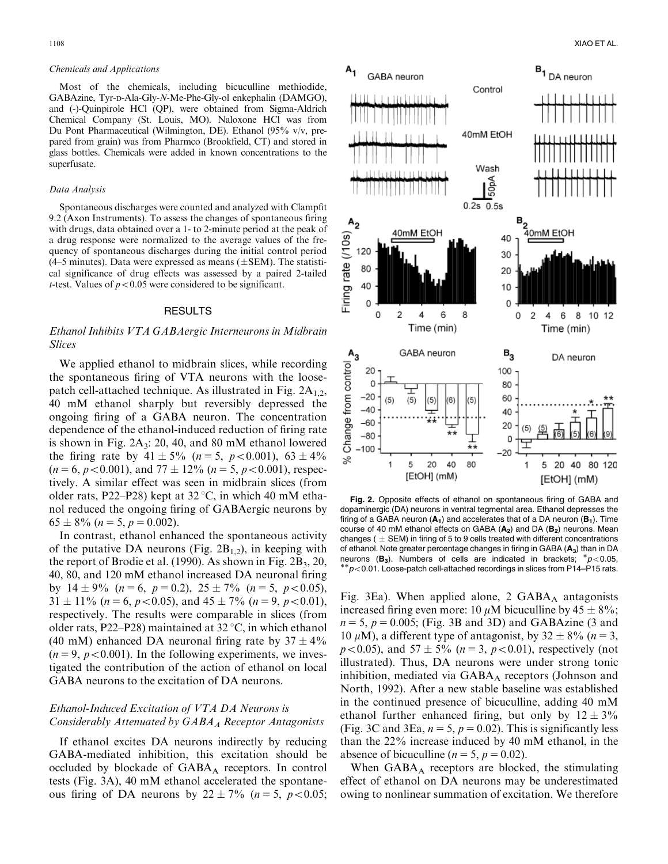#### Chemicals and Applications

Most of the chemicals, including bicuculline methiodide, GABAzine, Tyr-D-Ala-Gly-N-Me-Phe-Gly-ol enkephalin (DAMGO), and (-)-Quinpirole HCl (QP), were obtained from Sigma-Aldrich Chemical Company (St. Louis, MO). Naloxone HCl was from Du Pont Pharmaceutical (Wilmington, DE). Ethanol (95% v/v, prepared from grain) was from Pharmco (Brookfield, CT) and stored in glass bottles. Chemicals were added in known concentrations to the superfusate.

#### Data Analysis

Spontaneous discharges were counted and analyzed with Clampfit 9.2 (Axon Instruments). To assess the changes of spontaneous firing with drugs, data obtained over a 1- to 2-minute period at the peak of a drug response were normalized to the average values of the frequency of spontaneous discharges during the initial control period  $(4-5$  minutes). Data were expressed as means  $(\pm$ SEM). The statistical significance of drug effects was assessed by a paired 2-tailed *t*-test. Values of  $p < 0.05$  were considered to be significant.

## RESULTS

# Ethanol Inhibits VTA GABAergic Interneurons in Midbrain Slices

We applied ethanol to midbrain slices, while recording the spontaneous firing of VTA neurons with the loosepatch cell-attached technique. As illustrated in Fig.  $2A<sub>1,2</sub>$ , 40 mM ethanol sharply but reversibly depressed the ongoing firing of a GABA neuron. The concentration dependence of the ethanol-induced reduction of firing rate is shown in Fig.  $2A_3$ : 20, 40, and 80 mM ethanol lowered the firing rate by  $41 \pm 5\%$  (n = 5, p < 0.001),  $63 \pm 4\%$  $(n = 6, p < 0.001)$ , and  $77 \pm 12\%$   $(n = 5, p < 0.001)$ , respectively. A similar effect was seen in midbrain slices (from older rats, P22–P28) kept at  $32^{\circ}$ C, in which 40 mM ethanol reduced the ongoing firing of GABAergic neurons by  $65 \pm 8\%$  ( $n = 5$ ,  $p = 0.002$ ).

In contrast, ethanol enhanced the spontaneous activity of the putative DA neurons (Fig.  $2B_{1,2}$ ), in keeping with the report of Brodie et al. (1990). As shown in Fig.  $2B_3$ ,  $20$ , 40, 80, and 120 mM ethanol increased DA neuronal firing by  $14 \pm 9\%$   $(n = 6, p = 0.2), 25 \pm 7\%$   $(n = 5, p < 0.05),$  $31 \pm 11\%$  (n = 6, p < 0.05), and  $45 \pm 7\%$  (n = 9, p < 0.01), respectively. The results were comparable in slices (from older rats, P22–P28) maintained at  $32^{\circ}$ C, in which ethanol (40 mM) enhanced DA neuronal firing rate by  $37 \pm 4\%$  $(n = 9, p < 0.001)$ . In the following experiments, we investigated the contribution of the action of ethanol on local GABA neurons to the excitation of DA neurons.

# Ethanol-Induced Excitation of VTA DA Neurons is Considerably Attenuated by  $GABA_A$  Receptor Antagonists

If ethanol excites DA neurons indirectly by reducing GABA-mediated inhibition, this excitation should be occluded by blockade of  $GABA_A$  receptors. In control tests (Fig. 3A), 40 mM ethanol accelerated the spontaneous firing of DA neurons by  $22 \pm 7\%$  (n = 5, p < 0.05;



Fig. 2. Opposite effects of ethanol on spontaneous firing of GABA and dopaminergic (DA) neurons in ventral tegmental area. Ethanol depresses the firing of a GABA neuron  $(A_1)$  and accelerates that of a DA neuron  $(B_1)$ . Time course of 40 mM ethanol effects on GABA  $(A_2)$  and DA  $(B_2)$  neurons. Mean changes ( $\pm$  SEM) in firing of 5 to 9 cells treated with different concentrations of ethanol. Note greater percentage changes in firing in GABA  $(A_3)$  than in DA neurons (B<sub>3</sub>). Numbers of cells are indicated in brackets;  $p<0.05$ ,  $*p<0.01$ . Loose-patch cell-attached recordings in slices from P14–P15 rats.

Fig. 3Ea). When applied alone, 2  $GABA_A$  antagonists increased firing even more: 10  $\mu$ M bicuculline by 45  $\pm$  8%;  $n = 5$ ,  $p = 0.005$ ; (Fig. 3B and 3D) and GABAzine (3 and 10  $\mu$ M), a different type of antagonist, by 32  $\pm$  8% (n = 3,  $p < 0.05$ ), and  $57 \pm 5\%$  ( $n = 3$ ,  $p < 0.01$ ), respectively (not illustrated). Thus, DA neurons were under strong tonic inhibition, mediated via  $GABA_A$  receptors (Johnson and North, 1992). After a new stable baseline was established in the continued presence of bicuculline, adding 40 mM ethanol further enhanced firing, but only by  $12 \pm 3\%$ (Fig. 3C and 3Ea,  $n = 5$ ,  $p = 0.02$ ). This is significantly less than the 22% increase induced by 40 mM ethanol, in the absence of bicuculline ( $n = 5$ ,  $p = 0.02$ ).

When  $GABA_A$  receptors are blocked, the stimulating effect of ethanol on DA neurons may be underestimated owing to nonlinear summation of excitation. We therefore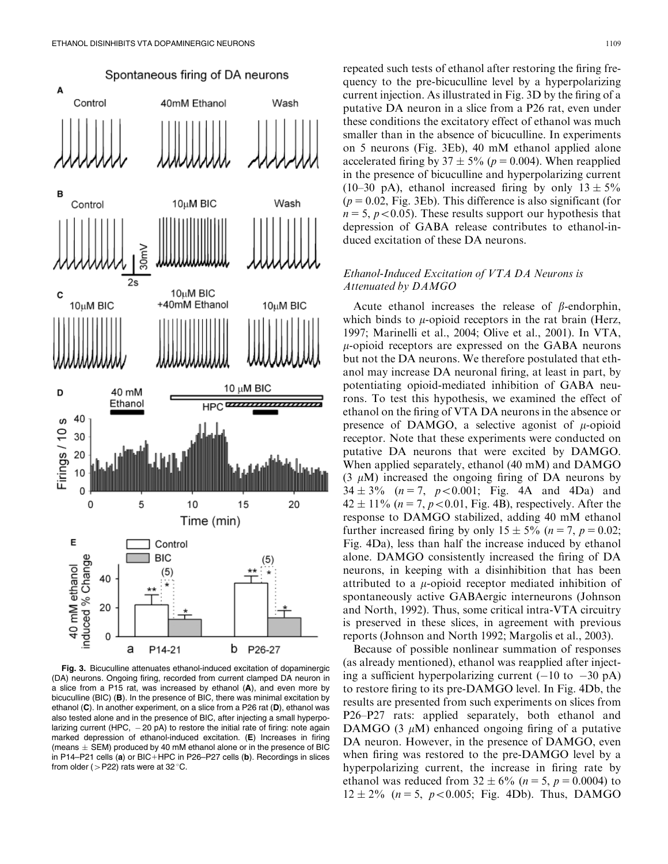

Fig. 3. Bicuculline attenuates ethanol-induced excitation of dopaminergic (DA) neurons. Ongoing firing, recorded from current clamped DA neuron in a slice from a P15 rat, was increased by ethanol (A), and even more by bicuculline (BIC) (B). In the presence of BIC, there was minimal excitation by ethanol (C). In another experiment, on a slice from a P26 rat (D), ethanol was also tested alone and in the presence of BIC, after injecting a small hyperpolarizing current (HPC,  $-20$  pA) to restore the initial rate of firing: note again marked depression of ethanol-induced excitation. (E) Increases in firing (means  $\pm$  SEM) produced by 40 mM ethanol alone or in the presence of BIC in P14–P21 cells (a) or BIC+HPC in P26–P27 cells (b). Recordings in slices from older ( $>$ P22) rats were at 32 °C.

repeated such tests of ethanol after restoring the firing frequency to the pre-bicuculline level by a hyperpolarizing current injection. As illustrated in Fig. 3D by the firing of a putative DA neuron in a slice from a P26 rat, even under these conditions the excitatory effect of ethanol was much smaller than in the absence of bicuculline. In experiments on 5 neurons (Fig. 3Eb), 40 mM ethanol applied alone accelerated firing by 37  $\pm$  5% (p = 0.004). When reapplied in the presence of bicuculline and hyperpolarizing current (10–30 pA), ethanol increased firing by only  $13 \pm 5\%$  $(p = 0.02,$  Fig. 3Eb). This difference is also significant (for  $n = 5$ ,  $p < 0.05$ ). These results support our hypothesis that depression of GABA release contributes to ethanol-induced excitation of these DA neurons.

# Ethanol-Induced Excitation of VTA DA Neurons is Attenuated by DAMGO

Acute ethanol increases the release of  $\beta$ -endorphin, which binds to  $\mu$ -opioid receptors in the rat brain (Herz, 1997; Marinelli et al., 2004; Olive et al., 2001). In VTA,  $\mu$ -opioid receptors are expressed on the GABA neurons but not the DA neurons. We therefore postulated that ethanol may increase DA neuronal firing, at least in part, by potentiating opioid-mediated inhibition of GABA neurons. To test this hypothesis, we examined the effect of ethanol on the firing of VTA DA neurons in the absence or presence of DAMGO, a selective agonist of  $\mu$ -opioid receptor. Note that these experiments were conducted on putative DA neurons that were excited by DAMGO. When applied separately, ethanol (40 mM) and DAMGO  $(3 \mu M)$  increased the ongoing firing of DA neurons by  $34 \pm 3\%$  ( $n = 7$ ,  $p < 0.001$ ; Fig. 4A and 4Da) and  $42 \pm 11\%$  ( $n = 7$ ,  $p < 0.01$ , Fig. 4B), respectively. After the response to DAMGO stabilized, adding 40 mM ethanol further increased firing by only  $15 \pm 5\%$  ( $n = 7$ ,  $p = 0.02$ ; Fig. 4Da), less than half the increase induced by ethanol alone. DAMGO consistently increased the firing of DA neurons, in keeping with a disinhibition that has been attributed to a  $\mu$ -opioid receptor mediated inhibition of spontaneously active GABAergic interneurons (Johnson and North, 1992). Thus, some critical intra-VTA circuitry is preserved in these slices, in agreement with previous reports (Johnson and North 1992; Margolis et al., 2003).

Because of possible nonlinear summation of responses (as already mentioned), ethanol was reapplied after injecting a sufficient hyperpolarizing current  $(-10 \text{ to } -30 \text{ pA})$ to restore firing to its pre-DAMGO level. In Fig. 4Db, the results are presented from such experiments on slices from P26–P27 rats: applied separately, both ethanol and DAMGO (3  $\mu$ M) enhanced ongoing firing of a putative DA neuron. However, in the presence of DAMGO, even when firing was restored to the pre-DAMGO level by a hyperpolarizing current, the increase in firing rate by ethanol was reduced from  $32 \pm 6\%$  ( $n = 5$ ,  $p = 0.0004$ ) to  $12 \pm 2\%$  ( $n = 5$ ,  $p < 0.005$ ; Fig. 4Db). Thus, DAMGO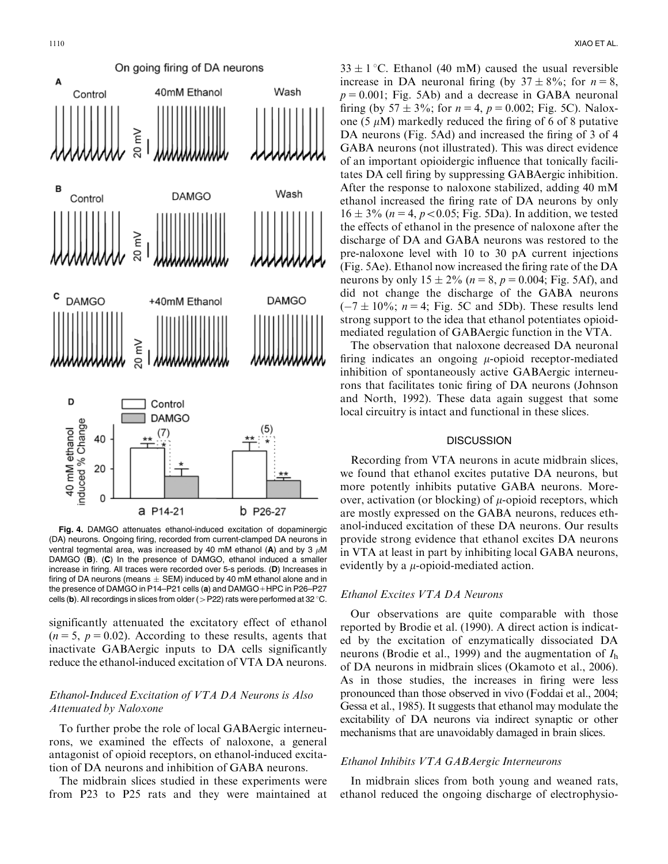

Fig. 4. DAMGO attenuates ethanol-induced excitation of dopaminergic (DA) neurons. Ongoing firing, recorded from current-clamped DA neurons in ventral tegmental area, was increased by 40 mM ethanol (A) and by 3  $\mu$ M DAMGO (B). (C) In the presence of DAMGO, ethanol induced a smaller increase in firing. All traces were recorded over 5-s periods. (D) Increases in firing of DA neurons (means  $\pm$  SEM) induced by 40 mM ethanol alone and in the presence of DAMGO in P14–P21 cells (a) and DAMGO + HPC in P26–P27 cells (b). All recordings in slices from older ( $>$ P22) rats were performed at 32 °C.

significantly attenuated the excitatory effect of ethanol  $(n = 5, p = 0.02)$ . According to these results, agents that inactivate GABAergic inputs to DA cells significantly reduce the ethanol-induced excitation of VTA DA neurons.

# Ethanol-Induced Excitation of VTA DA Neurons is Also Attenuated by Naloxone

To further probe the role of local GABAergic interneurons, we examined the effects of naloxone, a general antagonist of opioid receptors, on ethanol-induced excitation of DA neurons and inhibition of GABA neurons.

The midbrain slices studied in these experiments were from P23 to P25 rats and they were maintained at

 $33 \pm 1$  °C. Ethanol (40 mM) caused the usual reversible increase in DA neuronal firing (by  $37 \pm 8\%$ ; for  $n = 8$ ,  $p = 0.001$ ; Fig. 5Ab) and a decrease in GABA neuronal firing (by  $57 \pm 3\%$ ; for  $n = 4$ ,  $p = 0.002$ ; Fig. 5C). Naloxone (5  $\mu$ M) markedly reduced the firing of 6 of 8 putative DA neurons (Fig. 5Ad) and increased the firing of 3 of 4 GABA neurons (not illustrated). This was direct evidence of an important opioidergic influence that tonically facilitates DA cell firing by suppressing GABAergic inhibition. After the response to naloxone stabilized, adding 40 mM ethanol increased the firing rate of DA neurons by only  $16 \pm 3\%$  ( $n = 4$ ,  $p < 0.05$ ; Fig. 5Da). In addition, we tested the effects of ethanol in the presence of naloxone after the discharge of DA and GABA neurons was restored to the pre-naloxone level with 10 to 30 pA current injections (Fig. 5Ae). Ethanol now increased the firing rate of the DA neurons by only  $15 \pm 2\%$  ( $n = 8$ ,  $p = 0.004$ ; Fig. 5Af), and did not change the discharge of the GABA neurons  $(-7 \pm 10\%; n = 4; Fig. 5C and 5Db)$ . These results lend strong support to the idea that ethanol potentiates opioidmediated regulation of GABAergic function in the VTA.

The observation that naloxone decreased DA neuronal firing indicates an ongoing  $\mu$ -opioid receptor-mediated inhibition of spontaneously active GABAergic interneurons that facilitates tonic firing of DA neurons (Johnson and North, 1992). These data again suggest that some local circuitry is intact and functional in these slices.

#### **DISCUSSION**

Recording from VTA neurons in acute midbrain slices, we found that ethanol excites putative DA neurons, but more potently inhibits putative GABA neurons. Moreover, activation (or blocking) of  $\mu$ -opioid receptors, which are mostly expressed on the GABA neurons, reduces ethanol-induced excitation of these DA neurons. Our results provide strong evidence that ethanol excites DA neurons in VTA at least in part by inhibiting local GABA neurons, evidently by a  $\mu$ -opioid-mediated action.

# Ethanol Excites VTA DA Neurons

Our observations are quite comparable with those reported by Brodie et al. (1990). A direct action is indicated by the excitation of enzymatically dissociated DA neurons (Brodie et al., 1999) and the augmentation of  $I<sub>h</sub>$ of DA neurons in midbrain slices (Okamoto et al., 2006). As in those studies, the increases in firing were less pronounced than those observed in vivo (Foddai et al., 2004; Gessa et al., 1985). It suggests that ethanol may modulate the excitability of DA neurons via indirect synaptic or other mechanisms that are unavoidably damaged in brain slices.

# Ethanol Inhibits VTA GABAergic Interneurons

In midbrain slices from both young and weaned rats, ethanol reduced the ongoing discharge of electrophysio-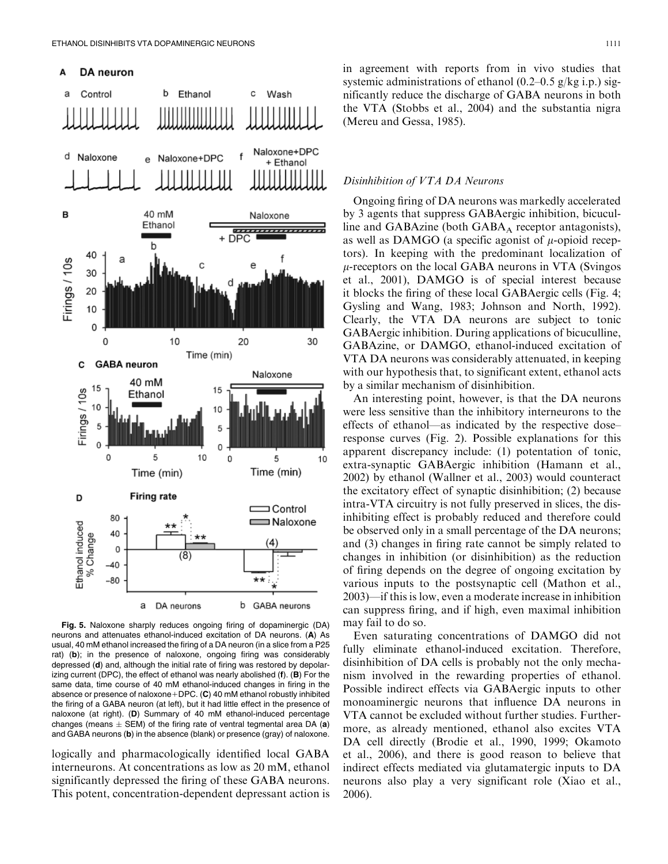

Fig. 5. Naloxone sharply reduces ongoing firing of dopaminergic (DA) neurons and attenuates ethanol-induced excitation of DA neurons. (A) As usual, 40 mM ethanol increased the firing of a DA neuron (in a slice from a P25 rat) (b); in the presence of naloxone, ongoing firing was considerably depressed (d) and, although the initial rate of firing was restored by depolarizing current (DPC), the effect of ethanol was nearly abolished (f). (B) For the same data, time course of 40 mM ethanol-induced changes in firing in the absence or presence of naloxone + DPC.  $(C)$  40 mM ethanol robustly inhibited the firing of a GABA neuron (at left), but it had little effect in the presence of naloxone (at right). (D) Summary of 40 mM ethanol-induced percentage changes (means  $\pm$  SEM) of the firing rate of ventral tegmental area DA (a) and GABA neurons (b) in the absence (blank) or presence (gray) of naloxone.

logically and pharmacologically identified local GABA interneurons. At concentrations as low as 20 mM, ethanol significantly depressed the firing of these GABA neurons. This potent, concentration-dependent depressant action is in agreement with reports from in vivo studies that systemic administrations of ethanol (0.2–0.5 g/kg i.p.) significantly reduce the discharge of GABA neurons in both the VTA (Stobbs et al., 2004) and the substantia nigra (Mereu and Gessa, 1985).

### Disinhibition of VTA DA Neurons

Ongoing firing of DA neurons was markedly accelerated by 3 agents that suppress GABAergic inhibition, bicuculline and GABAzine (both  $GABA_A$  receptor antagonists), as well as DAMGO (a specific agonist of  $\mu$ -opioid receptors). In keeping with the predominant localization of  $\mu$ -receptors on the local GABA neurons in VTA (Svingos et al., 2001), DAMGO is of special interest because it blocks the firing of these local GABAergic cells (Fig. 4; Gysling and Wang, 1983; Johnson and North, 1992). Clearly, the VTA DA neurons are subject to tonic GABAergic inhibition. During applications of bicuculline, GABAzine, or DAMGO, ethanol-induced excitation of VTA DA neurons was considerably attenuated, in keeping with our hypothesis that, to significant extent, ethanol acts by a similar mechanism of disinhibition.

An interesting point, however, is that the DA neurons were less sensitive than the inhibitory interneurons to the effects of ethanol—as indicated by the respective dose– response curves (Fig. 2). Possible explanations for this apparent discrepancy include: (1) potentation of tonic, extra-synaptic GABAergic inhibition (Hamann et al., 2002) by ethanol (Wallner et al., 2003) would counteract the excitatory effect of synaptic disinhibition; (2) because intra-VTA circuitry is not fully preserved in slices, the disinhibiting effect is probably reduced and therefore could be observed only in a small percentage of the DA neurons; and (3) changes in firing rate cannot be simply related to changes in inhibition (or disinhibition) as the reduction of firing depends on the degree of ongoing excitation by various inputs to the postsynaptic cell (Mathon et al., 2003)—if this is low, even a moderate increase in inhibition can suppress firing, and if high, even maximal inhibition may fail to do so.

Even saturating concentrations of DAMGO did not fully eliminate ethanol-induced excitation. Therefore, disinhibition of DA cells is probably not the only mechanism involved in the rewarding properties of ethanol. Possible indirect effects via GABAergic inputs to other monoaminergic neurons that influence DA neurons in VTA cannot be excluded without further studies. Furthermore, as already mentioned, ethanol also excites VTA DA cell directly (Brodie et al., 1990, 1999; Okamoto et al., 2006), and there is good reason to believe that indirect effects mediated via glutamatergic inputs to DA neurons also play a very significant role (Xiao et al., 2006).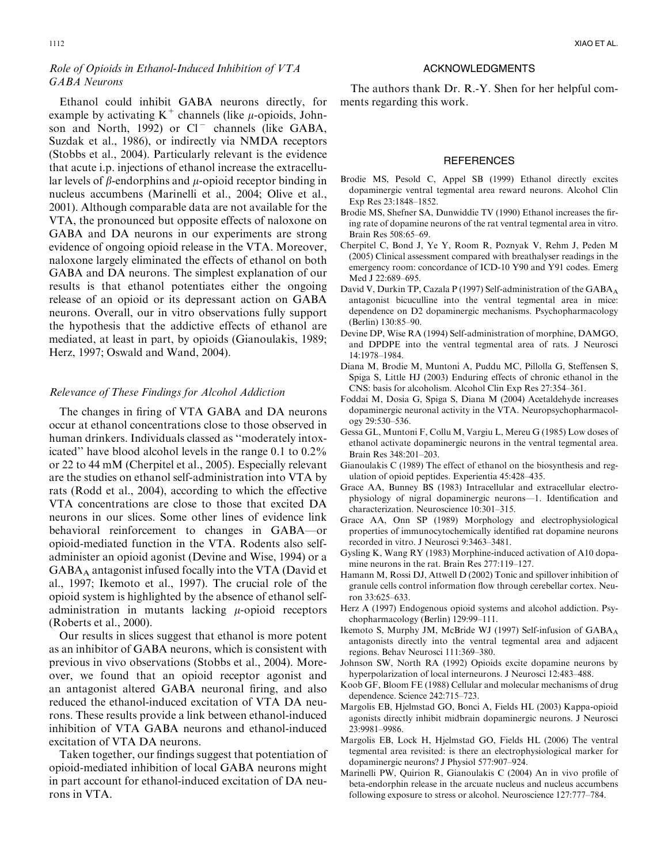# Role of Opioids in Ethanol-Induced Inhibition of VTA GABA Neurons

Ethanol could inhibit GABA neurons directly, for example by activating  $K^+$  channels (like  $\mu$ -opioids, Johnson and North, 1992) or  $Cl^-$  channels (like GABA, Suzdak et al., 1986), or indirectly via NMDA receptors (Stobbs et al., 2004). Particularly relevant is the evidence that acute i.p. injections of ethanol increase the extracellular levels of  $\beta$ -endorphins and  $\mu$ -opioid receptor binding in nucleus accumbens (Marinelli et al., 2004; Olive et al., 2001). Although comparable data are not available for the VTA, the pronounced but opposite effects of naloxone on GABA and DA neurons in our experiments are strong evidence of ongoing opioid release in the VTA. Moreover, naloxone largely eliminated the effects of ethanol on both GABA and DA neurons. The simplest explanation of our results is that ethanol potentiates either the ongoing release of an opioid or its depressant action on GABA neurons. Overall, our in vitro observations fully support the hypothesis that the addictive effects of ethanol are mediated, at least in part, by opioids (Gianoulakis, 1989; Herz, 1997; Oswald and Wand, 2004).

#### Relevance of These Findings for Alcohol Addiction

The changes in firing of VTA GABA and DA neurons occur at ethanol concentrations close to those observed in human drinkers. Individuals classed as ''moderately intoxicated'' have blood alcohol levels in the range 0.1 to 0.2% or 22 to 44 mM (Cherpitel et al., 2005). Especially relevant are the studies on ethanol self-administration into VTA by rats (Rodd et al., 2004), according to which the effective VTA concentrations are close to those that excited DA neurons in our slices. Some other lines of evidence link behavioral reinforcement to changes in GABA—or opioid-mediated function in the VTA. Rodents also selfadminister an opioid agonist (Devine and Wise, 1994) or a GABAA antagonist infused focally into the VTA (David et al., 1997; Ikemoto et al., 1997). The crucial role of the opioid system is highlighted by the absence of ethanol selfadministration in mutants lacking  $\mu$ -opioid receptors (Roberts et al., 2000).

Our results in slices suggest that ethanol is more potent as an inhibitor of GABA neurons, which is consistent with previous in vivo observations (Stobbs et al., 2004). Moreover, we found that an opioid receptor agonist and an antagonist altered GABA neuronal firing, and also reduced the ethanol-induced excitation of VTA DA neurons. These results provide a link between ethanol-induced inhibition of VTA GABA neurons and ethanol-induced excitation of VTA DA neurons.

Taken together, our findings suggest that potentiation of opioid-mediated inhibition of local GABA neurons might in part account for ethanol-induced excitation of DA neurons in VTA.

## ACKNOWLEDGMENTS

The authors thank Dr. R.-Y. Shen for her helpful comments regarding this work.

#### **REFERENCES**

- Brodie MS, Pesold C, Appel SB (1999) Ethanol directly excites dopaminergic ventral tegmental area reward neurons. Alcohol Clin Exp Res 23:1848–1852.
- Brodie MS, Shefner SA, Dunwiddie TV (1990) Ethanol increases the firing rate of dopamine neurons of the rat ventral tegmental area in vitro. Brain Res 508:65–69.
- Cherpitel C, Bond J, Ye Y, Room R, Poznyak V, Rehm J, Peden M (2005) Clinical assessment compared with breathalyser readings in the emergency room: concordance of ICD-10 Y90 and Y91 codes. Emerg Med J 22:689–695.
- David V, Durkin TP, Cazala P (1997) Self-administration of the GABA<sub>A</sub> antagonist bicuculline into the ventral tegmental area in mice: dependence on D2 dopaminergic mechanisms. Psychopharmacology (Berlin) 130:85–90.
- Devine DP, Wise RA (1994) Self-administration of morphine, DAMGO, and DPDPE into the ventral tegmental area of rats. J Neurosci 14:1978–1984.
- Diana M, Brodie M, Muntoni A, Puddu MC, Pillolla G, Steffensen S, Spiga S, Little HJ (2003) Enduring effects of chronic ethanol in the CNS: basis for alcoholism. Alcohol Clin Exp Res 27:354–361.
- Foddai M, Dosia G, Spiga S, Diana M (2004) Acetaldehyde increases dopaminergic neuronal activity in the VTA. Neuropsychopharmacology 29:530–536.
- Gessa GL, Muntoni F, Collu M, Vargiu L, Mereu G (1985) Low doses of ethanol activate dopaminergic neurons in the ventral tegmental area. Brain Res 348:201–203.
- Gianoulakis C (1989) The effect of ethanol on the biosynthesis and regulation of opioid peptides. Experientia 45:428–435.
- Grace AA, Bunney BS (1983) Intracellular and extracellular electrophysiology of nigral dopaminergic neurons—1. Identification and characterization. Neuroscience 10:301–315.
- Grace AA, Onn SP (1989) Morphology and electrophysiological properties of immunocytochemically identified rat dopamine neurons recorded in vitro. J Neurosci 9:3463–3481.
- Gysling K, Wang RY (1983) Morphine-induced activation of A10 dopamine neurons in the rat. Brain Res 277:119–127.
- Hamann M, Rossi DJ, Attwell D (2002) Tonic and spillover inhibition of granule cells control information flow through cerebellar cortex. Neuron 33:625–633.
- Herz A (1997) Endogenous opioid systems and alcohol addiction. Psychopharmacology (Berlin) 129:99–111.
- Ikemoto S, Murphy JM, McBride WJ (1997) Self-infusion of GABA<sub>A</sub> antagonists directly into the ventral tegmental area and adjacent regions. Behav Neurosci 111:369–380.
- Johnson SW, North RA (1992) Opioids excite dopamine neurons by hyperpolarization of local interneurons. J Neurosci 12:483–488.
- Koob GF, Bloom FE (1988) Cellular and molecular mechanisms of drug dependence. Science 242:715–723.
- Margolis EB, Hjelmstad GO, Bonci A, Fields HL (2003) Kappa-opioid agonists directly inhibit midbrain dopaminergic neurons. J Neurosci 23:9981–9986.
- Margolis EB, Lock H, Hjelmstad GO, Fields HL (2006) The ventral tegmental area revisited: is there an electrophysiological marker for dopaminergic neurons? J Physiol 577:907–924.
- Marinelli PW, Quirion R, Gianoulakis C (2004) An in vivo profile of beta-endorphin release in the arcuate nucleus and nucleus accumbens following exposure to stress or alcohol. Neuroscience 127:777–784.